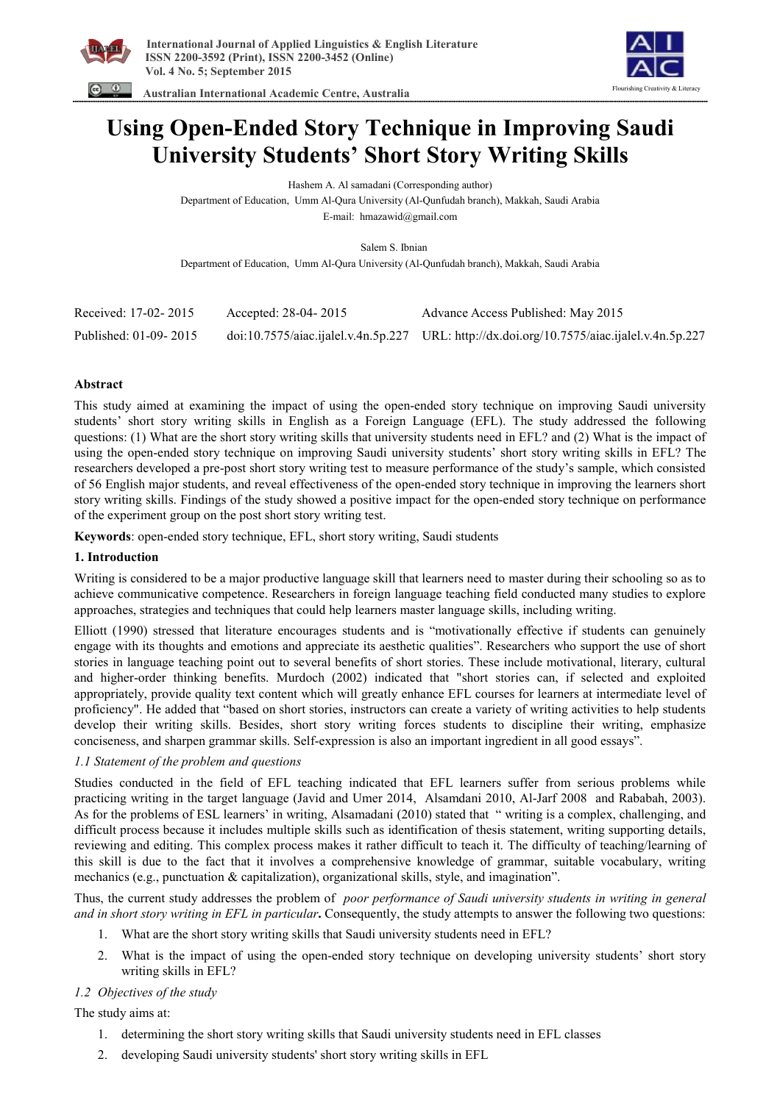

Flourishing Creativity & Literacy

 **Australian International Academic Centre, Australia** 

# **Using Open-Ended Story Technique in Improving Saudi University Students' Short Story Writing Skills**

Hashem A. Al samadani (Corresponding author)

Department of Education, Umm Al-Qura University (Al-Qunfudah branch), Makkah, Saudi Arabia

E-mail: hmazawid@gmail.com

Salem S. Ibnian

Department of Education, Umm Al-Qura University (Al-Qunfudah branch), Makkah, Saudi Arabia

| Received: 17-02-2015  | Accepted: 28-04-2015 | Advance Access Published: May 2015                                                         |
|-----------------------|----------------------|--------------------------------------------------------------------------------------------|
| Published: 01-09-2015 |                      | doi:10.7575/aiac.ijalel.v.4n.5p.227 URL: http://dx.doi.org/10.7575/aiac.ijalel.v.4n.5p.227 |

## **Abstract**

This study aimed at examining the impact of using the open-ended story technique on improving Saudi university students' short story writing skills in English as a Foreign Language (EFL). The study addressed the following questions: (1) What are the short story writing skills that university students need in EFL? and (2) What is the impact of using the open-ended story technique on improving Saudi university students' short story writing skills in EFL? The researchers developed a pre-post short story writing test to measure performance of the study's sample, which consisted of 56 English major students, and reveal effectiveness of the open-ended story technique in improving the learners short story writing skills. Findings of the study showed a positive impact for the open-ended story technique on performance of the experiment group on the post short story writing test.

**Keywords**: open-ended story technique, EFL, short story writing, Saudi students

## **1. Introduction**

Writing is considered to be a major productive language skill that learners need to master during their schooling so as to achieve communicative competence. Researchers in foreign language teaching field conducted many studies to explore approaches, strategies and techniques that could help learners master language skills, including writing.

Elliott (1990) stressed that literature encourages students and is "motivationally effective if students can genuinely engage with its thoughts and emotions and appreciate its aesthetic qualities". Researchers who support the use of short stories in language teaching point out to several benefits of short stories. These include motivational, literary, cultural and higher-order thinking benefits. Murdoch (2002) indicated that "short stories can, if selected and exploited appropriately, provide quality text content which will greatly enhance EFL courses for learners at intermediate level of proficiency". He added that "based on short stories, instructors can create a variety of writing activities to help students develop their writing skills. Besides, short story writing forces students to discipline their writing, emphasize conciseness, and sharpen grammar skills. Self-expression is also an important ingredient in all good essays".

## *1.1 Statement of the problem and questions*

Studies conducted in the field of EFL teaching indicated that EFL learners suffer from serious problems while practicing writing in the target language (Javid and Umer 2014, Alsamdani 2010, Al-Jarf 2008 and Rababah, 2003). As for the problems of ESL learners' in writing, Alsamadani (2010) stated that " writing is a complex, challenging, and difficult process because it includes multiple skills such as identification of thesis statement, writing supporting details, reviewing and editing. This complex process makes it rather difficult to teach it. The difficulty of teaching/learning of this skill is due to the fact that it involves a comprehensive knowledge of grammar, suitable vocabulary, writing mechanics (e.g., punctuation & capitalization), organizational skills, style, and imagination".

Thus, the current study addresses the problem of *poor performance of Saudi university students in writing in general and in short story writing in EFL in particular***.** Consequently, the study attempts to answer the following two questions:

- 1. What are the short story writing skills that Saudi university students need in EFL?
- 2. What is the impact of using the open-ended story technique on developing university students' short story writing skills in EFL?

## *1.2 Objectives of the study*

The study aims at:

- 1. determining the short story writing skills that Saudi university students need in EFL classes
- 2. developing Saudi university students' short story writing skills in EFL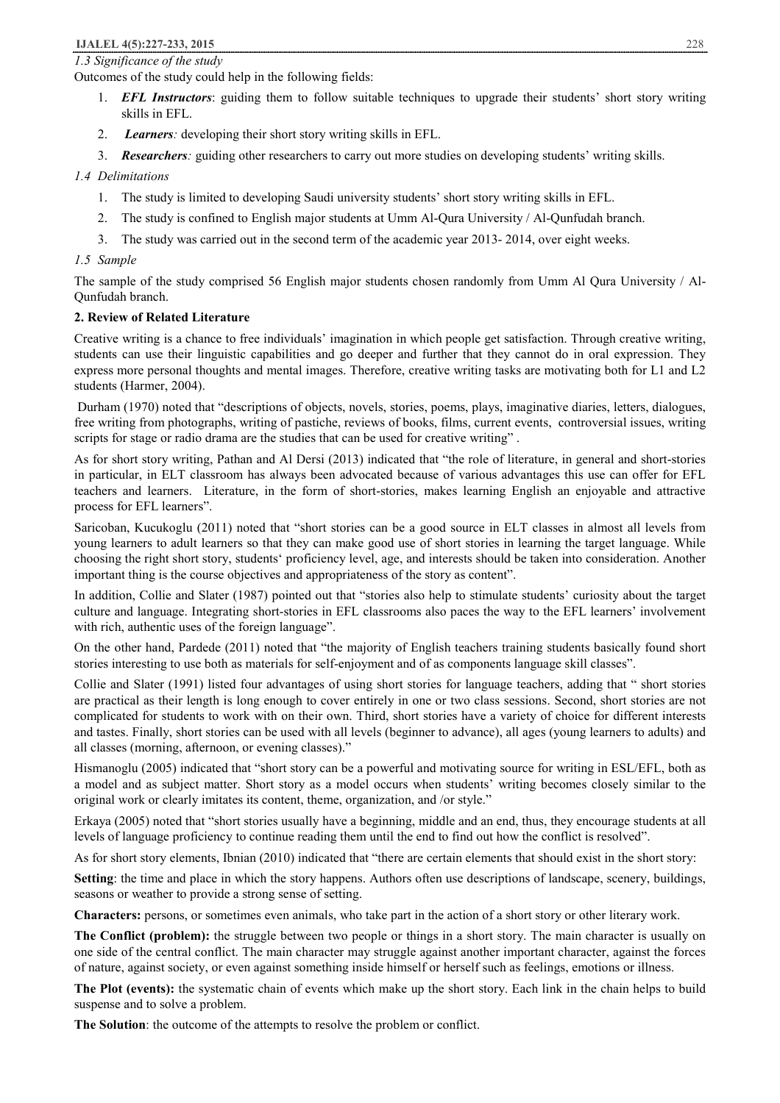#### *1.3 Significance of the study*

Outcomes of the study could help in the following fields:

- 1. *EFL Instructors*: guiding them to follow suitable techniques to upgrade their students' short story writing skills in EFL.
- 2. *Learners:* developing their short story writing skills in EFL.
- 3. *Researchers:* guiding other researchers to carry out more studies on developing students' writing skills.

## *1.4 Delimitations*

- 1. The study is limited to developing Saudi university students' short story writing skills in EFL.
- 2. The study is confined to English major students at Umm Al-Qura University / Al-Qunfudah branch.
- 3. The study was carried out in the second term of the academic year 2013- 2014, over eight weeks.

## *1.5 Sample*

The sample of the study comprised 56 English major students chosen randomly from Umm Al Qura University / Al-Qunfudah branch.

## **2. Review of Related Literature**

Creative writing is a chance to free individuals' imagination in which people get satisfaction. Through creative writing, students can use their linguistic capabilities and go deeper and further that they cannot do in oral expression. They express more personal thoughts and mental images. Therefore, creative writing tasks are motivating both for L1 and L2 students (Harmer, 2004).

Durham (1970) noted that "descriptions of objects, novels, stories, poems, plays, imaginative diaries, letters, dialogues, free writing from photographs, writing of pastiche, reviews of books, films, current events, controversial issues, writing scripts for stage or radio drama are the studies that can be used for creative writing" .

As for short story writing, Pathan and Al Dersi (2013) indicated that "the role of literature, in general and short-stories in particular, in ELT classroom has always been advocated because of various advantages this use can offer for EFL teachers and learners. Literature, in the form of short-stories, makes learning English an enjoyable and attractive process for EFL learners".

Saricoban, Kucukoglu (2011) noted that "short stories can be a good source in ELT classes in almost all levels from young learners to adult learners so that they can make good use of short stories in learning the target language. While choosing the right short story, students' proficiency level, age, and interests should be taken into consideration. Another important thing is the course objectives and appropriateness of the story as content".

In addition, Collie and Slater (1987) pointed out that "stories also help to stimulate students' curiosity about the target culture and language. Integrating short-stories in EFL classrooms also paces the way to the EFL learners' involvement with rich, authentic uses of the foreign language".

On the other hand, Pardede (2011) noted that "the majority of English teachers training students basically found short stories interesting to use both as materials for self-enjoyment and of as components language skill classes".

Collie and Slater (1991) listed four advantages of using short stories for language teachers, adding that " short stories are practical as their length is long enough to cover entirely in one or two class sessions. Second, short stories are not complicated for students to work with on their own. Third, short stories have a variety of choice for different interests and tastes. Finally, short stories can be used with all levels (beginner to advance), all ages (young learners to adults) and all classes (morning, afternoon, or evening classes)."

Hismanoglu (2005) indicated that "short story can be a powerful and motivating source for writing in ESL/EFL, both as a model and as subject matter. Short story as a model occurs when students' writing becomes closely similar to the original work or clearly imitates its content, theme, organization, and /or style."

Erkaya (2005) noted that "short stories usually have a beginning, middle and an end, thus, they encourage students at all levels of language proficiency to continue reading them until the end to find out how the conflict is resolved".

As for short story elements, Ibnian (2010) indicated that "there are certain elements that should exist in the short story:

**Setting**: the time and place in which the story happens. Authors often use descriptions of landscape, scenery, buildings, seasons or weather to provide a strong sense of setting.

**Characters:** persons, or sometimes even animals, who take part in the action of a short story or other literary work.

**The Conflict (problem):** the struggle between two people or things in a short story. The main character is usually on one side of the central conflict. The main character may struggle against another important character, against the forces of nature, against society, or even against something inside himself or herself such as feelings, emotions or illness.

**The Plot (events):** the systematic chain of events which make up the short story. Each link in the chain helps to build suspense and to solve a problem.

**The Solution**: the outcome of the attempts to resolve the problem or conflict.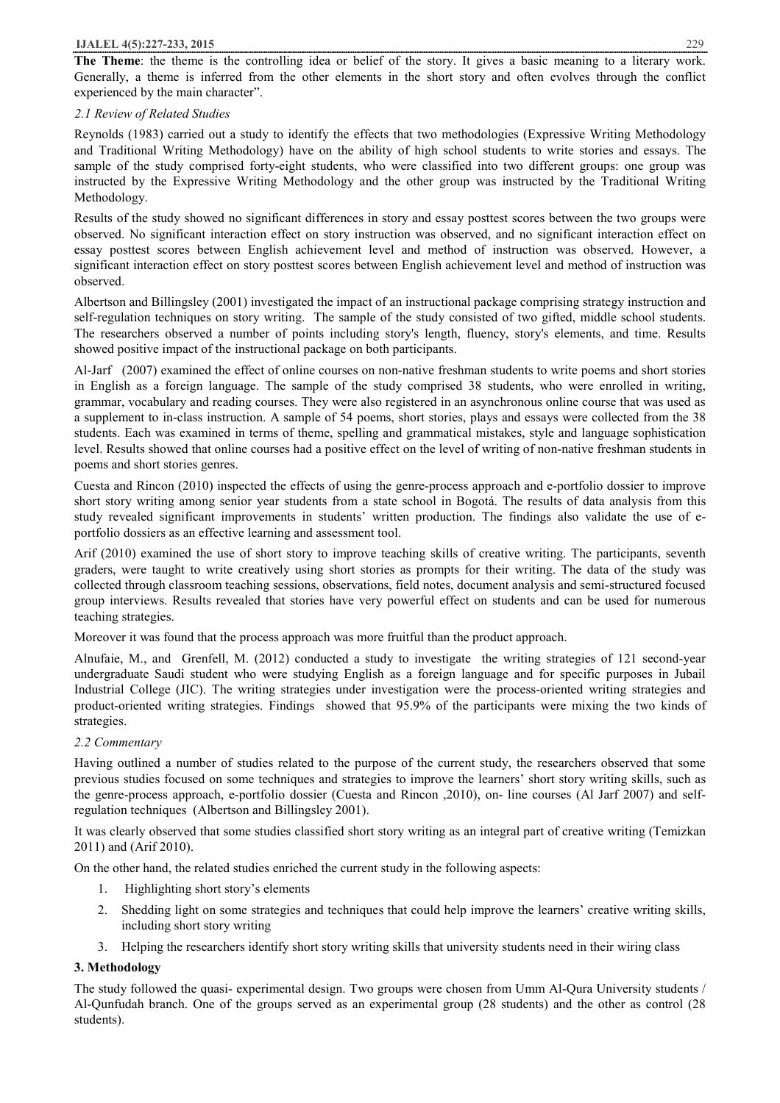**The Theme**: the theme is the controlling idea or belief of the story. It gives a basic meaning to a literary work. Generally, a theme is inferred from the other elements in the short story and often evolves through the conflict experienced by the main character".

## *2.1 Review of Related Studies*

Reynolds (1983) carried out a study to identify the effects that two methodologies (Expressive Writing Methodology and Traditional Writing Methodology) have on the ability of high school students to write stories and essays. The sample of the study comprised forty-eight students, who were classified into two different groups: one group was instructed by the Expressive Writing Methodology and the other group was instructed by the Traditional Writing Methodology.

Results of the study showed no significant differences in story and essay posttest scores between the two groups were observed. No significant interaction effect on story instruction was observed, and no significant interaction effect on essay posttest scores between English achievement level and method of instruction was observed. However, a significant interaction effect on story posttest scores between English achievement level and method of instruction was observed.

Albertson and Billingsley (2001) investigated the impact of an instructional package comprising strategy instruction and self-regulation techniques on story writing. The sample of the study consisted of two gifted, middle school students. The researchers observed a number of points including story's length, fluency, story's elements, and time. Results showed positive impact of the instructional package on both participants.

Al-Jarf (2007) examined the effect of online courses on non-native freshman students to write poems and short stories in English as a foreign language. The sample of the study comprised 38 students, who were enrolled in writing, grammar, vocabulary and reading courses. They were also registered in an asynchronous online course that was used as a supplement to in-class instruction. A sample of 54 poems, short stories, plays and essays were collected from the 38 students. Each was examined in terms of theme, spelling and grammatical mistakes, style and language sophistication level. Results showed that online courses had a positive effect on the level of writing of non-native freshman students in poems and short stories genres.

Cuesta and Rincon (2010) inspected the effects of using the genre-process approach and e-portfolio dossier to improve short story writing among senior year students from a state school in Bogotá. The results of data analysis from this study revealed significant improvements in students' written production. The findings also validate the use of eportfolio dossiers as an effective learning and assessment tool.

Arif (2010) examined the use of short story to improve teaching skills of creative writing. The participants, seventh graders, were taught to write creatively using short stories as prompts for their writing. The data of the study was collected through classroom teaching sessions, observations, field notes, document analysis and semi-structured focused group interviews. Results revealed that stories have very powerful effect on students and can be used for numerous teaching strategies.

Moreover it was found that the process approach was more fruitful than the product approach.

Alnufaie, M., and Grenfell, M. (2012) conducted a study to investigate the writing strategies of 121 second-year undergraduate Saudi student who were studying English as a foreign language and for specific purposes in Jubail Industrial College (JIC). The writing strategies under investigation were the process-oriented writing strategies and product-oriented writing strategies. Findings showed that 95.9% of the participants were mixing the two kinds of strategies.

# *2.2 Commentary*

Having outlined a number of studies related to the purpose of the current study, the researchers observed that some previous studies focused on some techniques and strategies to improve the learners' short story writing skills, such as the genre-process approach, e-portfolio dossier (Cuesta and Rincon ,2010), on- line courses (Al Jarf 2007) and selfregulation techniques (Albertson and Billingsley 2001).

It was clearly observed that some studies classified short story writing as an integral part of creative writing (Temizkan 2011) and (Arif 2010).

On the other hand, the related studies enriched the current study in the following aspects:

- 1. Highlighting short story's elements
- 2. Shedding light on some strategies and techniques that could help improve the learners' creative writing skills, including short story writing
- 3. Helping the researchers identify short story writing skills that university students need in their wiring class

# **3. Methodology**

The study followed the quasi- experimental design. Two groups were chosen from Umm Al-Qura University students / Al-Qunfudah branch. One of the groups served as an experimental group (28 students) and the other as control (28 students).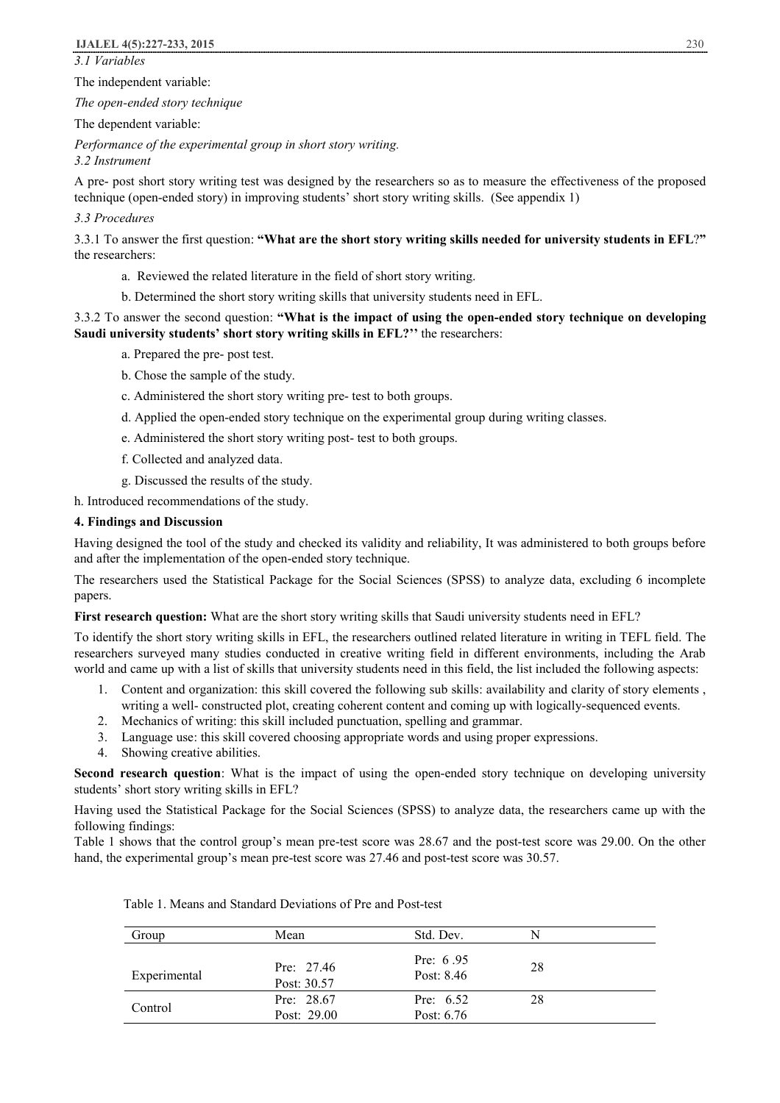*3.1 Variables* 

#### The independent variable:

*The open-ended story technique*

#### The dependent variable:

*Performance of the experimental group in short story writing.*

## *3.2 Instrument*

A pre- post short story writing test was designed by the researchers so as to measure the effectiveness of the proposed technique (open-ended story) in improving students' short story writing skills. (See appendix 1)

## *3.3 Procedures*

3.3.1 To answer the first question: **"What are the short story writing skills needed for university students in EFL**?**"**  the researchers:

- a. Reviewed the related literature in the field of short story writing.
- b. Determined the short story writing skills that university students need in EFL.

## 3.3.2 To answer the second question: **"What is the impact of using the open-ended story technique on developing Saudi university students' short story writing skills in EFL?''** the researchers:

- a. Prepared the pre- post test.
- b. Chose the sample of the study.
- c. Administered the short story writing pre- test to both groups.
- d. Applied the open-ended story technique on the experimental group during writing classes.
- e. Administered the short story writing post- test to both groups.
- f. Collected and analyzed data.
- g. Discussed the results of the study.
- h. Introduced recommendations of the study.

## **4. Findings and Discussion**

Having designed the tool of the study and checked its validity and reliability, It was administered to both groups before and after the implementation of the open-ended story technique.

The researchers used the Statistical Package for the Social Sciences (SPSS) to analyze data, excluding 6 incomplete papers.

**First research question:** What are the short story writing skills that Saudi university students need in EFL?

To identify the short story writing skills in EFL, the researchers outlined related literature in writing in TEFL field. The researchers surveyed many studies conducted in creative writing field in different environments, including the Arab world and came up with a list of skills that university students need in this field, the list included the following aspects:

- 1. Content and organization: this skill covered the following sub skills: availability and clarity of story elements , writing a well- constructed plot, creating coherent content and coming up with logically-sequenced events.
- 2. Mechanics of writing: this skill included punctuation, spelling and grammar.
- 3. Language use: this skill covered choosing appropriate words and using proper expressions.
- 4. Showing creative abilities.

**Second research question**: What is the impact of using the open-ended story technique on developing university students' short story writing skills in EFL?

Having used the Statistical Package for the Social Sciences (SPSS) to analyze data, the researchers came up with the following findings:

Table 1 shows that the control group's mean pre-test score was 28.67 and the post-test score was 29.00. On the other hand, the experimental group's mean pre-test score was 27.46 and post-test score was 30.57.

| Group        | Mean                        | Std. Dev.                   | N  |
|--------------|-----------------------------|-----------------------------|----|
| Experimental | Pre: $27.46$<br>Post: 30.57 | Pre: $6.95$<br>Post: 8.46   | 28 |
| Control      | Pre: $28.67$<br>Post: 29.00 | Pre: $6.52$<br>Post: $6.76$ | 28 |

Table 1. Means and Standard Deviations of Pre and Post-test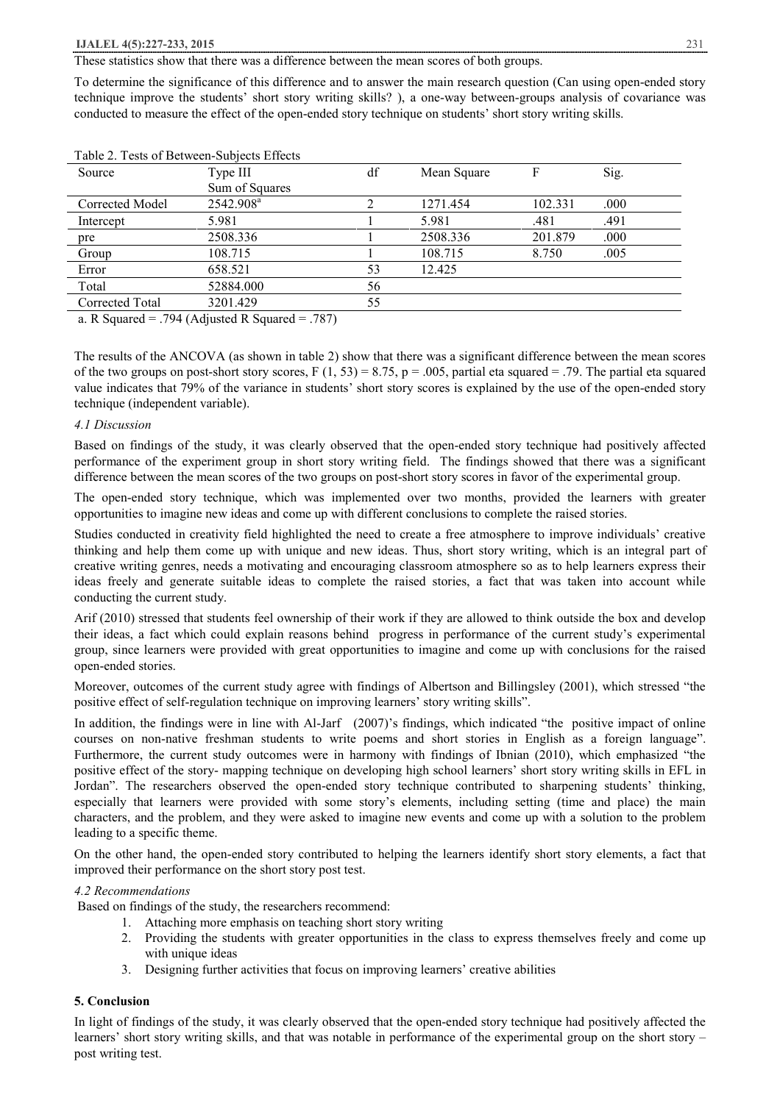These statistics show that there was a difference between the mean scores of both groups.

To determine the significance of this difference and to answer the main research question (Can using open-ended story technique improve the students' short story writing skills? ), a one-way between-groups analysis of covariance was conducted to measure the effect of the open-ended story technique on students' short story writing skills.

| Table 2. Tests of Between-Subjects Effects                      |                       |    |             |         |      |
|-----------------------------------------------------------------|-----------------------|----|-------------|---------|------|
| Source                                                          | Type III              | df | Mean Square |         | Sig. |
|                                                                 | Sum of Squares        |    |             |         |      |
| Corrected Model                                                 | 2542.908 <sup>a</sup> |    | 1271.454    | 102.331 | .000 |
| Intercept                                                       | 5.981                 |    | 5.981       | .481    | .491 |
| pre                                                             | 2508.336              |    | 2508.336    | 201.879 | .000 |
| Group                                                           | 108.715               |    | 108.715     | 8.750   | .005 |
| Error                                                           | 658.521               | 53 | 12.425      |         |      |
| Total                                                           | 52884.000             | 56 |             |         |      |
| Corrected Total                                                 | 3201.429              | 55 |             |         |      |
| $701/11$ $17.0$<br>$\mathbf{R} \cap \mathbf{C}$ 1<br>$H \cap H$ |                       |    |             |         |      |

Table 2. Tests of Between-Subjects Effects

a. R Squared = .794 (Adjusted R Squared = .787)

The results of the ANCOVA (as shown in table 2) show that there was a significant difference between the mean scores of the two groups on post-short story scores,  $F(1, 53) = 8.75$ ,  $p = .005$ , partial eta squared = .79. The partial eta squared value indicates that 79% of the variance in students' short story scores is explained by the use of the open-ended story technique (independent variable).

## *4.1 Discussion*

Based on findings of the study, it was clearly observed that the open-ended story technique had positively affected performance of the experiment group in short story writing field. The findings showed that there was a significant difference between the mean scores of the two groups on post-short story scores in favor of the experimental group.

The open-ended story technique, which was implemented over two months, provided the learners with greater opportunities to imagine new ideas and come up with different conclusions to complete the raised stories.

Studies conducted in creativity field highlighted the need to create a free atmosphere to improve individuals' creative thinking and help them come up with unique and new ideas. Thus, short story writing, which is an integral part of creative writing genres, needs a motivating and encouraging classroom atmosphere so as to help learners express their ideas freely and generate suitable ideas to complete the raised stories, a fact that was taken into account while conducting the current study.

Arif (2010) stressed that students feel ownership of their work if they are allowed to think outside the box and develop their ideas, a fact which could explain reasons behind progress in performance of the current study's experimental group, since learners were provided with great opportunities to imagine and come up with conclusions for the raised open-ended stories.

Moreover, outcomes of the current study agree with findings of Albertson and Billingsley (2001), which stressed "the positive effect of self-regulation technique on improving learners' story writing skills".

In addition, the findings were in line with Al-Jarf (2007)'s findings, which indicated "the positive impact of online courses on non-native freshman students to write poems and short stories in English as a foreign language". Furthermore, the current study outcomes were in harmony with findings of Ibnian (2010), which emphasized "the positive effect of the story- mapping technique on developing high school learners' short story writing skills in EFL in Jordan". The researchers observed the open-ended story technique contributed to sharpening students' thinking, especially that learners were provided with some story's elements, including setting (time and place) the main characters, and the problem, and they were asked to imagine new events and come up with a solution to the problem leading to a specific theme.

On the other hand, the open-ended story contributed to helping the learners identify short story elements, a fact that improved their performance on the short story post test.

#### *4.2 Recommendations*

Based on findings of the study, the researchers recommend:

- 1. Attaching more emphasis on teaching short story writing
- 2. Providing the students with greater opportunities in the class to express themselves freely and come up with unique ideas
- 3. Designing further activities that focus on improving learners' creative abilities

## **5. Conclusion**

In light of findings of the study, it was clearly observed that the open-ended story technique had positively affected the learners' short story writing skills, and that was notable in performance of the experimental group on the short story – post writing test.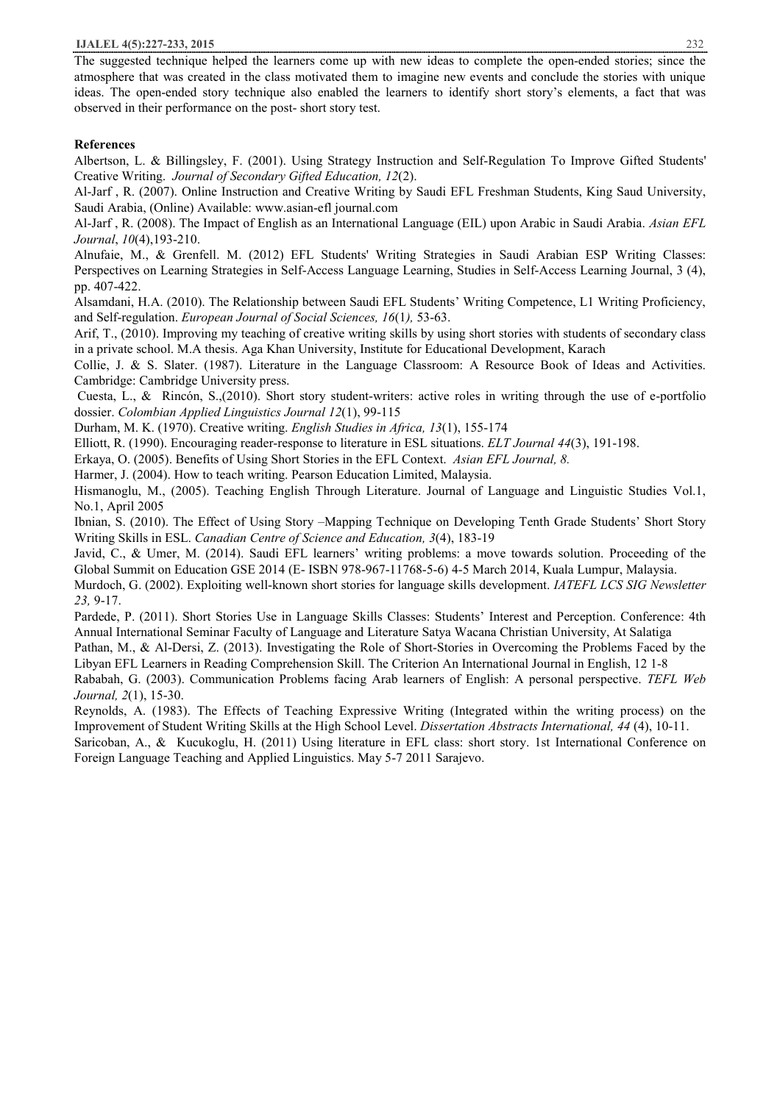#### **IJALEL 4(5):227-233, 2015** 232

The suggested technique helped the learners come up with new ideas to complete the open-ended stories; since the atmosphere that was created in the class motivated them to imagine new events and conclude the stories with unique ideas. The open-ended story technique also enabled the learners to identify short story's elements, a fact that was observed in their performance on the post- short story test.

#### **References**

Albertson, L. & Billingsley, F. (2001). Using Strategy Instruction and Self-Regulation To Improve Gifted Students' Creative Writing. *Journal of Secondary Gifted Education, 12*(2).

Al-Jarf , R. (2007). Online Instruction and Creative Writing by Saudi EFL Freshman Students, King Saud University, Saudi Arabia, (Online) Available: www.asian-efl journal.com

Al-Jarf , R. (2008). The Impact of English as an International Language (EIL) upon Arabic in Saudi Arabia. *Asian EFL Journal*, *10*(4),193-210.

Alnufaie, M., & Grenfell. M. (2012) EFL Students' Writing Strategies in Saudi Arabian ESP Writing Classes: Perspectives on Learning Strategies in Self-Access Language Learning, Studies in Self-Access Learning Journal, 3 (4), pp. 407-422.

Alsamdani, H.A. (2010). The Relationship between Saudi EFL Students' Writing Competence, L1 Writing Proficiency, and Self-regulation. *European Journal of Social Sciences, 16*(1*),* 53-63.

Arif, T., (2010). Improving my teaching of creative writing skills by using short stories with students of secondary class in a private school. M.A thesis. Aga Khan University, Institute for Educational Development, Karach

Collie, J. & S. Slater. (1987). Literature in the Language Classroom: A Resource Book of Ideas and Activities. Cambridge: Cambridge University press.

Cuesta, L., & Rincón, S.,(2010). Short story student-writers: active roles in writing through the use of e-portfolio dossier. *Colombian Applied Linguistics Journal 12*(1), 99-115

Durham, M. K. (1970). Creative writing. *English Studies in Africa, 13*(1), 155-174

Elliott, R. (1990). Encouraging reader-response to literature in ESL situations. *ELT Journal 44*(3), 191-198.

Erkaya, O. (2005). Benefits of Using Short Stories in the EFL Context. *Asian EFL Journal, 8.*

Harmer, J. (2004). How to teach writing. Pearson Education Limited, Malaysia.

Hismanoglu, M., (2005). Teaching English Through Literature. Journal of Language and Linguistic Studies Vol.1, No.1, April 2005

Ibnian, S. (2010). The Effect of Using Story –Mapping Technique on Developing Tenth Grade Students' Short Story Writing Skills in ESL. *Canadian Centre of Science and Education, 3*(4), 183-19

Javid, C., & Umer, M. (2014). Saudi EFL learners' writing problems: a move towards solution. Proceeding of the Global Summit on Education GSE 2014 (E- ISBN 978-967-11768-5-6) 4-5 March 2014, Kuala Lumpur, Malaysia.

Murdoch, G. (2002). Exploiting well-known short stories for language skills development. *IATEFL LCS SIG Newsletter 23,* 9-17.

Pardede, P. (2011). Short Stories Use in Language Skills Classes: Students' Interest and Perception. Conference: 4th Annual International Seminar Faculty of Language and Literature Satya Wacana Christian University, At Salatiga

Pathan, M., & Al-Dersi, Z. (2013). Investigating the Role of Short-Stories in Overcoming the Problems Faced by the Libyan EFL Learners in Reading Comprehension Skill. The Criterion An International Journal in English, 12 1-8

Rababah, G. (2003). Communication Problems facing Arab learners of English: A personal perspective. *TEFL Web Journal, 2*(1), 15-30.

Reynolds, A. (1983). The Effects of Teaching Expressive Writing (Integrated within the writing process) on the Improvement of Student Writing Skills at the High School Level. *Dissertation Abstracts International, 44* (4), 10-11.

Saricoban, A., & Kucukoglu, H. (2011) Using literature in EFL class: short story. 1st International Conference on Foreign Language Teaching and Applied Linguistics. May 5-7 2011 Sarajevo.